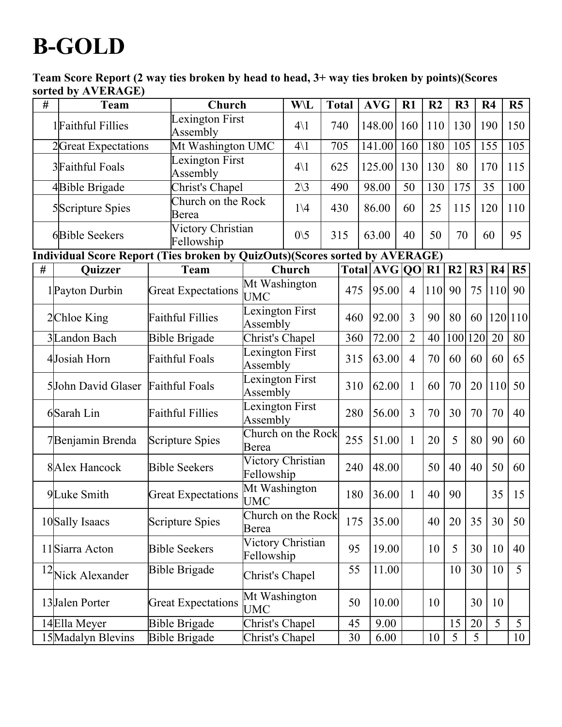## **B-GOLD**

Team Score Report (2 way ties broken by head to head, 3+ way ties broken by points)(Scores sorted by AVERAGE)

| #                                                                           | <b>Team</b>         | Church                      |                                    | W\L            | <b>Total</b> |       | <b>AVG</b>      | R1             | R <sub>2</sub> | R3  |     | R <sub>4</sub> | R <sub>5</sub> |
|-----------------------------------------------------------------------------|---------------------|-----------------------------|------------------------------------|----------------|--------------|-------|-----------------|----------------|----------------|-----|-----|----------------|----------------|
|                                                                             | 1 Faithful Fillies  | Lexington First<br>Assembly |                                    | $4\backslash1$ |              | 740   | 148.00          | 160            | 110            | 130 |     | 190            | 150            |
|                                                                             | 2Great Expectations |                             | Mt Washington UMC                  |                |              | 705   | 141.00          | 160            | 180            | 105 |     | 155            | 105            |
|                                                                             | 3Faithful Foals     | Assembly                    | <b>Lexington First</b>             |                |              | 625   | 125.00          | 130            | 130            | 80  |     | 170            | 115            |
|                                                                             | 4Bible Brigade      |                             | Christ's Chapel                    |                |              | 490   | 98.00           | 50             | 130            | 175 |     | 35             | 100            |
|                                                                             | 5Scripture Spies    | Church on the Rock<br>Berea |                                    |                |              | 430   | 86.00           | 60             | 25             | 115 |     | 120            | 110            |
|                                                                             | 6Bible Seekers      | Fellowship                  | Victory Christian                  |                | 315          |       | 63.00           | 40             | 50             | 70  |     | 60             | 95             |
| Individual Score Report (Ties broken by QuizOuts)(Scores sorted by AVERAGE) |                     |                             |                                    |                |              |       |                 |                |                |     |     |                |                |
| #                                                                           | Quizzer             | <b>Team</b>                 |                                    | Church         |              |       | Total AVG QO R1 |                |                | R2  | R3  | R4             | R <sub>5</sub> |
|                                                                             | 1 Payton Durbin     | <b>Great Expectations</b>   | Mt Washington<br><b>UMC</b>        |                | 475          | 95.00 | $\overline{4}$  | <b>110</b>     | 90             | 75  | 110 | 90             |                |
|                                                                             | 2Chloe King         | <b>Faithful Fillies</b>     | Lexington First<br>Assembly        |                |              | 460   | 92.00           | $\overline{3}$ | 90             | 80  | 60  |                | 120 110        |
|                                                                             | 3Landon Bach        | <b>Bible Brigade</b>        | Christ's Chapel                    |                |              | 360   | 72.00           | $\overline{2}$ | 40             | 100 | 120 | 20             | 80             |
|                                                                             | 4Josiah Horn        | <b>Faithful Foals</b>       | Lexington First<br>Assembly        |                |              | 315   | 63.00           | $\overline{4}$ | 70             | 60  | 60  | 60             | 65             |
|                                                                             | 5John David Glaser  | <b>Faithful Foals</b>       | Lexington First<br>Assembly        |                |              | 310   | 62.00           | $\mathbf{1}$   | 60             | 70  | 20  | 110            | 50             |
|                                                                             | 6Sarah Lin          | <b>Faithful Fillies</b>     | <b>Lexington First</b><br>Assembly |                |              | 280   | 56.00           | $\overline{3}$ | 70             | 30  | 70  | 70             | 40             |
|                                                                             | 7Benjamin Brenda    | <b>Scripture Spies</b>      | Church on the Rock<br>Berea        |                |              | 255   | 51.00           | $\mathbf{1}$   | 20             | 5   | 80  | 90             | 60             |
|                                                                             | 8 Alex Hancock      | <b>Bible Seekers</b>        | Victory Christian<br>Fellowship    |                |              | 240   | 48.00           |                | 50             | 40  | 40  | 50             | 60             |
|                                                                             | 9Luke Smith         | <b>Great Expectations</b>   | Mt Washington<br><b>UMC</b>        |                |              | 180   | 36.00           | $\mathbf{1}$   | 40             | 90  |     | 35             | 15             |
|                                                                             | 10 Sally Isaacs     | <b>Scripture Spies</b>      | Church on the Rock<br>Berea        |                | 175          | 35.00 |                 | 40             | 20             | 35  | 30  | 50             |                |
|                                                                             | 11 Siarra Acton     | <b>Bible Seekers</b>        | Victory Christian<br>Fellowship    |                |              | 95    | 19.00           |                | 10             | 5   | 30  | 10             | 40             |
| 12                                                                          | Nick Alexander      | <b>Bible Brigade</b>        | Christ's Chapel                    |                |              | 55    | 11.00           |                |                | 10  | 30  | 10             | $\overline{5}$ |
|                                                                             | 13Jalen Porter      | <b>Great Expectations</b>   | Mt Washington<br><b>UMC</b>        |                |              | 50    | 10.00           |                | 10             |     | 30  | 10             |                |
|                                                                             | 14Ella Meyer        | <b>Bible Brigade</b>        | Christ's Chapel                    |                |              | 45    | 9.00            |                |                | 15  | 20  | $\overline{5}$ | 5              |
|                                                                             | 15 Madalyn Blevins  | <b>Bible Brigade</b>        | Christ's Chapel                    |                |              | 30    | 6.00            |                | 10             | 5   | 5   |                | 10             |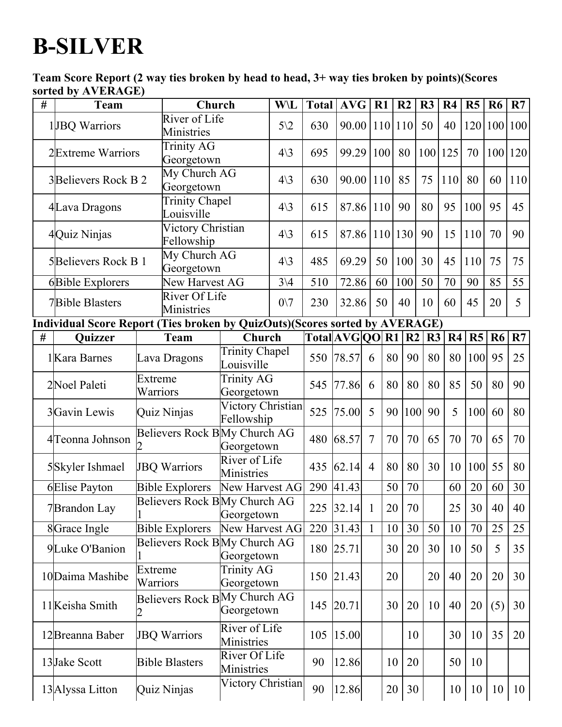## **B-SILVER**

Team Score Report (2 way ties broken by head to head, 3+ way ties broken by points)(Scores sorted by AVERAGE)

| # | $\mathbf{u}$ $\mathbf{v}$ $\mathbf{v}$ $\mathbf{v}$ $\mathbf{v}$ $\mathbf{v}$ $\mathbf{v}$<br><b>Team</b> |                                 | Church                                               |                                            | W\L             | <b>Total</b> | <b>AVG</b>      | R1             |                 | R <sub>2</sub> | R3  | R <sub>4</sub> | R5      | <b>R6</b>       | R7               |
|---|-----------------------------------------------------------------------------------------------------------|---------------------------------|------------------------------------------------------|--------------------------------------------|-----------------|--------------|-----------------|----------------|-----------------|----------------|-----|----------------|---------|-----------------|------------------|
|   | 1JBQ Warriors                                                                                             |                                 | River of Life<br>Ministries                          |                                            | $5\sqrt{2}$     | 630          | 90.00           |                | 110 110         |                | 50  | 40             | 120 100 |                 | 100              |
|   | 2Extreme Warriors                                                                                         | <b>Trinity AG</b><br>Georgetown |                                                      |                                            | $4\backslash3$  | 695          | 99.29           | 100            |                 | 80             | 100 | 125            | 70      | 100             | 120              |
|   | 3Believers Rock B 2                                                                                       |                                 | My Church AG<br>Georgetown                           |                                            | $4\backslash3$  | 630          | 90.00           | 110            |                 | 85             | 75  | 110            | 80      | 60              | 110              |
|   | 4Lava Dragons                                                                                             |                                 | <b>Trinity Chapel</b><br>Louisville                  |                                            | $4\backslash3$  | 615          | 87.86           | 110            |                 | 90             | 80  | 95             | 100     | 95              | 45               |
|   | 4Quiz Ninjas                                                                                              | Victory Christian<br>Fellowship |                                                      |                                            | $4\backslash3$  | 615          | 87.86           |                | $110$   130     |                | 90  | 15             | 110     | 70              | 90               |
|   | 5Believers Rock B 1                                                                                       | My Church AG<br>Georgetown      |                                                      |                                            | $4\backslash3$  | 485          | 69.29           | 50             |                 | 100            | 30  | 45             | 110     | 75              | 75               |
|   | 6Bible Explorers                                                                                          |                                 | New Harvest AG                                       |                                            | $3\backslash 4$ | 510          | 72.86           | 60             |                 | 100            | 50  | 70             | 90      | 85              | 55               |
|   | River Of Life<br><b>7Bible Blasters</b><br>Ministries                                                     |                                 |                                                      | $0\vee 7$                                  | 230             | 32.86        | 50              |                | 40              | 10             | 60  | 45             | 20      | 5               |                  |
|   | Individual Score Report (Ties broken by QuizOuts)(Scores sorted by AVERAGE)                               |                                 |                                                      |                                            |                 |              |                 |                |                 |                |     |                |         |                 |                  |
| # | Quizzer                                                                                                   |                                 | <b>Team</b>                                          | Church                                     |                 |              | Total[AVG]QO R1 |                |                 | R <sub>2</sub> | R3  | R4             | R5      | R6              | R7               |
|   | 1 Kara Barnes                                                                                             |                                 | <b>Trinity Chapel</b><br>Lava Dragons<br>Louisville  |                                            |                 |              | 550 78.57       | 6              | 80              | 90             | 80  | 80             | 100     | 95              | 25               |
|   | 2Noel Paleti                                                                                              | Extreme<br>Warriors             |                                                      | <b>Trinity AG</b><br>Georgetown            |                 | 545          | 77.86           | 6              | 80              | 80             | 80  | 85             | 50      | 80              | 90               |
|   | 3Gavin Lewis                                                                                              |                                 | Quiz Ninjas                                          | Victory Christian<br>Fellowship            |                 | 525          | 75.00           | 5              | 90              | 100            | 90  | 5              | 100     | 60              | 80               |
|   | 4 <sup>T</sup> eonna Johnson                                                                              |                                 | Believers Rock BMy Church AG                         | Georgetown                                 |                 | 480          | 68.57           | $\overline{7}$ | 70              | 70             | 65  | 70             | 70      | 65              | 70               |
|   | 5Skyler Ishmael                                                                                           |                                 | <b>JBQ Warriors</b>                                  | River of Life<br>Ministries                |                 |              | 435 62.14       | $\overline{4}$ | 80              | 80             | 30  | 10             | 100     | 55              | 80               |
|   | 6Elise Payton                                                                                             |                                 | <b>Bible Explorers</b>                               | New Harvest AG                             |                 |              | 290 41.43       |                | 50              | 70             |     | 60             | 20      | 60              | 30               |
|   | 7Brandon Lay                                                                                              |                                 | Believers Rock BMy Church AG                         | Georgetown                                 |                 |              | 225 32.14       | $\overline{1}$ | 20              | 70             |     | 25             | 30      | 40              | 40               |
|   | 8Grace Ingle                                                                                              |                                 | <b>Bible Explorers</b>                               | New Harvest AG                             |                 | 220          | 31.43  1        |                | 10              | 30             | 50  | 10             | 70      | 25              | 25               |
|   | 9Luke O'Banion                                                                                            |                                 | Believers Rock BMy Church AG                         | Georgetown                                 |                 |              | 180 25.71       |                | 30              | 20             | 30  | 10             | 50      | 5               | 35               |
|   | 10 Daima Mashibe                                                                                          | Extreme<br>Warriors             |                                                      | <b>Trinity AG</b><br>Georgetown            |                 |              | 150 21.43       |                | 20              |                | 20  | 40             | 20      | 20              | 30               |
|   | 11 Keisha Smith                                                                                           |                                 |                                                      | Believers Rock BMy Church AG<br>Georgetown |                 |              | 145 20.71       |                | 30              | 20             | 10  | 40             | 20      | (5)             | 30               |
|   | 12 Breanna Baber                                                                                          |                                 | River of Life<br><b>JBQ Warriors</b><br>Ministries   |                                            |                 | 105          | 15.00           |                |                 | 10             |     | 30             | 10      | 35              | 20               |
|   | 13 Jake Scott                                                                                             |                                 | River Of Life<br><b>Bible Blasters</b><br>Ministries |                                            |                 | 90           | 12.86           |                | 10              | 20             |     | 50             | 10      |                 |                  |
|   | 13 Alyssa Litton                                                                                          |                                 | Victory Christian<br>Quiz Ninjas                     |                                            |                 | 90           | 12.86           |                | 20 <sup>1</sup> | 30             |     | 10             | 10      | 10 <sup>1</sup> | $\vert 10 \vert$ |